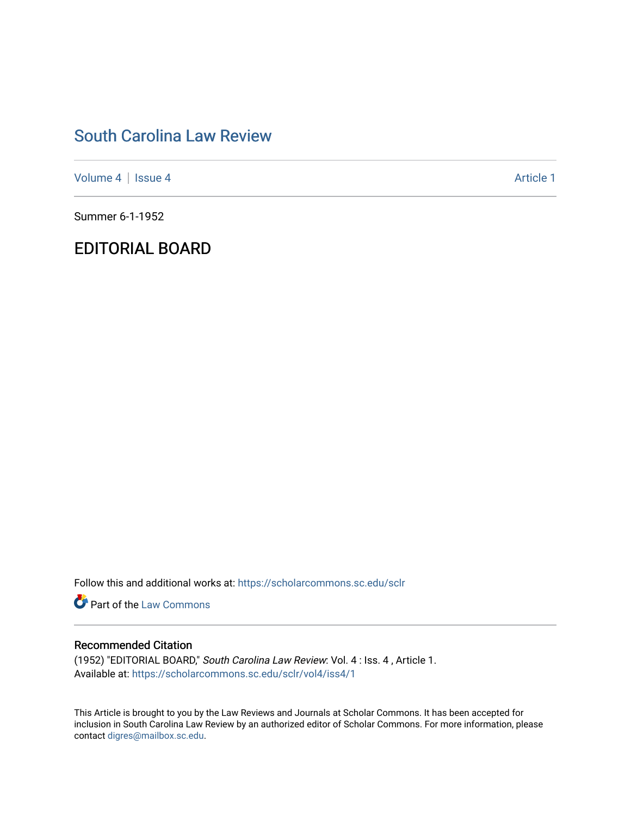## [South Carolina Law Review](https://scholarcommons.sc.edu/sclr)

[Volume 4](https://scholarcommons.sc.edu/sclr/vol4) | [Issue 4](https://scholarcommons.sc.edu/sclr/vol4/iss4) Article 1

Summer 6-1-1952

## EDITORIAL BOARD

Follow this and additional works at: [https://scholarcommons.sc.edu/sclr](https://scholarcommons.sc.edu/sclr?utm_source=scholarcommons.sc.edu%2Fsclr%2Fvol4%2Fiss4%2F1&utm_medium=PDF&utm_campaign=PDFCoverPages)

**Part of the [Law Commons](http://network.bepress.com/hgg/discipline/578?utm_source=scholarcommons.sc.edu%2Fsclr%2Fvol4%2Fiss4%2F1&utm_medium=PDF&utm_campaign=PDFCoverPages)** 

### Recommended Citation

(1952) "EDITORIAL BOARD," South Carolina Law Review: Vol. 4 : Iss. 4 , Article 1. Available at: [https://scholarcommons.sc.edu/sclr/vol4/iss4/1](https://scholarcommons.sc.edu/sclr/vol4/iss4/1?utm_source=scholarcommons.sc.edu%2Fsclr%2Fvol4%2Fiss4%2F1&utm_medium=PDF&utm_campaign=PDFCoverPages)

This Article is brought to you by the Law Reviews and Journals at Scholar Commons. It has been accepted for inclusion in South Carolina Law Review by an authorized editor of Scholar Commons. For more information, please contact [digres@mailbox.sc.edu.](mailto:digres@mailbox.sc.edu)